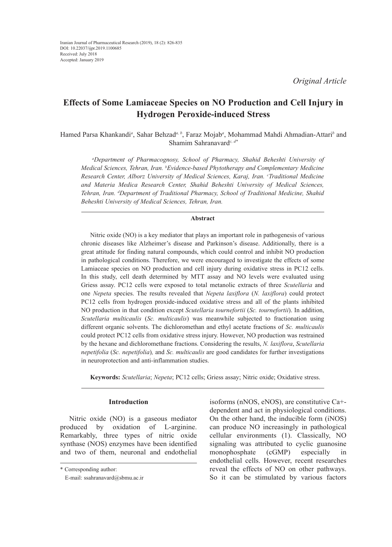*Original Article*

# **Effects of Some Lamiaceae Species on NO Production and Cell Injury in Hydrogen Peroxide-induced Stress**

Hamed Parsa Khankandi*<sup>a</sup>* , Sahar Behzad*a, b*, Faraz Mojab*<sup>a</sup>* , Mohammad Mahdi Ahmadian-Attari*<sup>b</sup>* and Shamim Sahranavard*c, d\**

*a Department of Pharmacognosy, School of Pharmacy, Shahid Beheshti University of Medical Sciences, Tehran, Iran. b Evidence-based Phytotherapy and Complementary Medicine Research Center, Alborz University of Medical Sciences, Karaj, Iran. c Traditional Medicine and Materia Medica Research Center, Shahid Beheshti University of Medical Sciences, Tehran, Iran. d Department of Traditional Pharmacy, School of Traditional Medicine, Shahid Beheshti University of Medical Sciences, Tehran, Iran.*

#### **Abstract**

Nitric oxide (NO) is a key mediator that plays an important role in pathogenesis of various chronic diseases like Alzheimer's disease and Parkinson's disease. Additionally, there is a great attitude for finding natural compounds, which could control and inhibit NO production in pathological conditions. Therefore, we were encouraged to investigate the effects of some Lamiaceae species on NO production and cell injury during oxidative stress in PC12 cells. In this study, cell death determined by MTT assay and NO levels were evaluated using Griess assay. PC12 cells were exposed to total metanolic extracts of three *Scutellaria* and one *Nepeta* species. The results revealed that *Nepeta laxiflora* (*N. laxiflora*) could protect PC12 cells from hydrogen proxide-induced oxidative stress and all of the plants inhibited NO production in that condition except *Scutellaria tournefortii* (*Sc. tournefortii*). In addition, *Scutellaria multicaulis* (*Sc. multicaulis*) was meanwhile subjected to fractionation using different organic solvents. The dichloromethan and ethyl acetate fractions of *Sc. multicaulis* could protect PC12 cells from oxidative stress injury. However, NO production was restrained by the hexane and dichloromethane fractions. Considering the results, *N. laxiflora*, *Scutellaria nepetifolia* (*Sc. nepetifolia*)*,* and *Sc. multicaulis* are good candidates for further investigations in neuroprotection and anti-inflammation studies.

**Keywords:** *Scutellaria*; *Nepeta*; PC12 cells; Griess assay; Nitric oxide; Oxidative stress.

# **Introduction**

Nitric oxide (NO) is a gaseous mediator produced by oxidation of L-arginine. Remarkably, three types of nitric oxide synthase (NOS) enzymes have been identified and two of them, neuronal and endothelial

isoforms (nNOS, eNOS), are constitutive Ca+ dependent and act in physiological conditions. On the other hand, the inducible form (iNOS) can produce NO increasingly in pathological cellular environments (1). Classically, NO signaling was attributed to cyclic guanosine monophosphate (cGMP) especially in endothelial cells. However, recent researches reveal the effects of NO on other pathways. So it can be stimulated by various factors

<sup>\*</sup> Corresponding author:

E-mail: ssahranavard@sbmu.ac.ir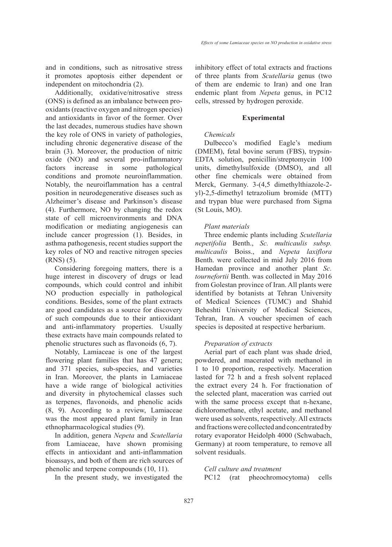and in conditions, such as nitrosative stress it promotes apoptosis either dependent or independent on mitochondria (2).

Additionally, oxidative/nitrosative stress (ONS) is defined as an imbalance between prooxidants (reactive oxygen and nitrogen species) and antioxidants in favor of the former. Over the last decades, numerous studies have shown the key role of ONS in variety of pathologies, including chronic degenerative disease of the brain (3). Moreover, the production of nitric oxide (NO) and several pro-inflammatory factors increase in some pathological conditions and promote neuroinflammation. Notably, the neuroiflammation has a central position in neurodegenerative diseases such as Alzheimer's disease and Parkinson's disease (4). Furthermore, NO by changing the redox state of cell microenvironments and DNA modification or mediating angiogenesis can include cancer progression (1). Besides, in asthma pathogenesis, recent studies support the key roles of NO and reactive nitrogen species (RNS) (5).

Considering foregoing matters, there is a huge interest in discovery of drugs or lead compounds, which could control and inhibit NO production especially in pathological conditions. Besides, some of the plant extracts are good candidates as a source for discovery of such compounds due to their antioxidant and anti-inflammatory properties. Usually these extracts have main compounds related to phenolic structures such as flavonoids (6, 7).

Notably, Lamiaceae is one of the largest flowering plant families that has 47 genera; and 371 species, sub-species, and varieties in Iran. Moreover, the plants in Lamiaceae have a wide range of biological activities and diversity in phytochemical classes such as terpenes, flavonoids, and phenolic acids (8, 9). According to a review, Lamiaceae was the most appeared plant family in Iran ethnopharmacological studies (9).

In addition, genera *Nepeta* and *Scutellaria* from Lamiaceae, have shown promising effects in antioxidant and anti-inflammation bioassays, and both of them are rich sources of phenolic and terpene compounds (10, 11).

In the present study, we investigated the

inhibitory effect of total extracts and fractions of three plants from *Scutellaria* genus (two of them are endemic to Iran) and one Iran endemic plant from *Nepeta* genus, in PC12 cells, stressed by hydrogen peroxide.

#### **Experimental**

#### *Chemicals*

Dulbecco's modified Eagle's medium (DMEM), fetal bovine serum (FBS), trypsin-EDTA solution, penicillin/streptomycin 100 units, dimethylsulfoxide (DMSO), and all other fine chemicals were obtained from Merck, Germany. 3-(4,5 dimethylthiazole-2 yl)-2,5-dimethyl tetrazolium bromide (MTT) and trypan blue were purchased from Sigma (St Louis, MO).

#### *Plant materials*

Three endemic plants including *Scutellaria nepetifolia* Benth., *Sc. multicaulis subsp. multicaulis* Boiss., and *Nepeta laxiflora* Benth. were collected in mid July 2016 from Hamedan province and another plant *Sc. tournefortii* Benth. was collected in May 2016 from Golestan province of Iran. All plants were identified by botanists at Tehran University of Medical Sciences (TUMC) and Shahid Beheshti University of Medical Sciences, Tehran, Iran. A voucher specimen of each species is deposited at respective herbarium.

#### *Preparation of extracts*

Aerial part of each plant was shade dried, powdered, and macerated with methanol in 1 to 10 proportion, respectively. Maceration lasted for 72 h and a fresh solvent replaced the extract every 24 h. For fractionation of the selected plant, maceration was carried out with the same process except that n-hexane, dichloromethane, ethyl acetate, and methanol were used as solvents, respectively. All extracts and fractions were collected and concentrated by rotary evaporator Heidolph 4000 (Schwabach, Germany) at room temperature, to remove all solvent residuals.

# *Cell culture and treatment*

PC12 (rat pheochromocytoma) cells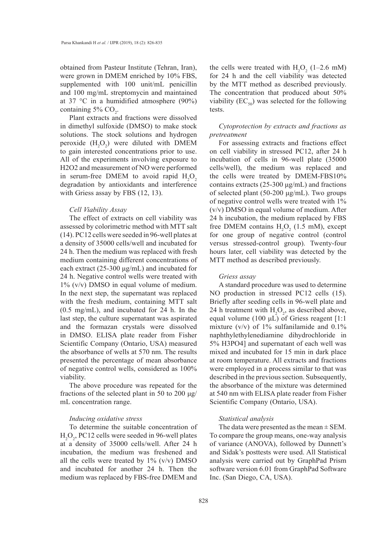obtained from Pasteur Institute (Tehran, Iran), were grown in DMEM enriched by 10% FBS, supplemented with 100 unit/mL penicillin and 100 mg/mL streptomycin and maintained at 37 °C in a humidified atmosphere (90%) containing 5%  $CO<sub>2</sub>$ .

Plant extracts and fractions were dissolved in dimethyl sulfoxide (DMSO) to make stock solutions. The stock solutions and hydrogen peroxide  $(H_2O_2)$  were diluted with DMEM to gain interested concentrations prior to use. All of the experiments involving exposure to H2O2 and measurement of NO were performed in serum-free DMEM to avoid rapid  $H_2O_2$ degradation by antioxidants and interference with Griess assay by FBS (12, 13).

#### *Cell Viability Assay*

The effect of extracts on cell viability was assessed by colorimetric method with MTT salt (14). PC12 cells were seeded in 96-well plates at a density of 35000 cells/well and incubated for 24 h. Then the medium was replaced with fresh medium containing different concentrations of each extract (25-300 μg/mL) and incubated for 24 h. Negative control wells were treated with 1% (v/v) DMSO in equal volume of medium. In the next step, the supernatant was replaced with the fresh medium, containing MTT salt (0.5 mg/mL), and incubated for 24 h. In the last step, the culture supernatant was aspirated and the formazan crystals were dissolved in DMSO. ELISA plate reader from Fisher Scientific Company (Ontario, USA) measured the absorbance of wells at 570 nm. The results presented the percentage of mean absorbance of negative control wells, considered as 100% viability.

The above procedure was repeated for the fractions of the selected plant in 50 to 200 μg/ mL concentration range.

#### *Inducing oxidative stress*

To determine the suitable concentration of  $H_2O_2$ , PC12 cells were seeded in 96-well plates at a density of 35000 cells/well. After 24 h incubation, the medium was freshened and all the cells were treated by  $1\%$  (v/v) DMSO and incubated for another 24 h. Then the medium was replaced by FBS-free DMEM and

the cells were treated with  $H_2O_2$  (1–2.6 mM) for 24 h and the cell viability was detected by the MTT method as described previously. The concentration that produced about 50% viability  $(EC_{50})$  was selected for the following tests.

### *Cytoprotection by extracts and fractions as pretreatment*

For assessing extracts and fractions effect on cell viability in stressed PC12, after 24 h incubation of cells in 96-well plate (35000 cells/well), the medium was replaced and the cells were treated by DMEM-FBS10% contains extracts  $(25{\text -}300 \,\mu\text{g/mL})$  and fractions of selected plant (50-200 μg/mL). Two groups of negative control wells were treated with 1% (v/v) DMSO in equal volume of medium. After 24 h incubation, the medium replaced by FBS free DMEM contains  $H_2O_2$  (1.5 mM), except for one group of negative control (control versus stressed-control group). Twenty-four hours later, cell viability was detected by the MTT method as described previously.

#### *Griess assay*

A standard procedure was used to determine NO production in stressed PC12 cells (15). Briefly after seeding cells in 96-well plate and 24 h treatment with  $H_2O_2$ , as described above, equal volume (100 μL) of Griess reagent [1:1 mixture (v/v) of  $1\%$  sulfanilamide and  $0.1\%$ naphthylethylenediamine dihydrochloride in 5% H3PO4] and supernatant of each well was mixed and incubated for 15 min in dark place at room temperature. All extracts and fractions were employed in a process similar to that was described in the previous section. Subsequently, the absorbance of the mixture was determined at 540 nm with ELISA plate reader from Fisher Scientific Company (Ontario, USA).

#### *Statistical analysis*

The data were presented as the mean  $\pm$  SEM. To compare the group means, one-way analysis of variance (ANOVA), followed by Dunnett's and Sidak's posttests were used. All Statistical analysis were carried out by GraphPad Prism software version 6.01 from GraphPad Software Inc. (San Diego, CA, USA).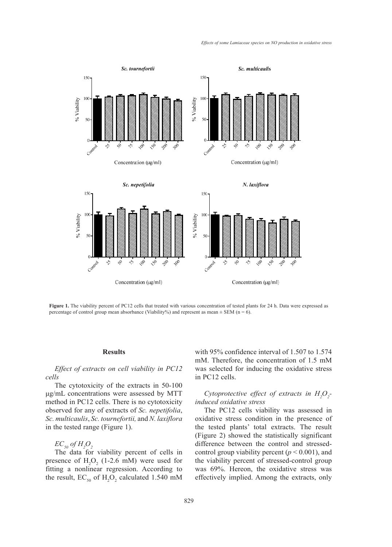

**Figure 1.** The viability percent of PC12 cells that treated with various concentration of tested with various concentration of tested with various concentration of tested with various concentration of tested with various **Figure 1.** The viability percent of PC12 cells that treated with various concentration of tested plants for 24 h. Data were expressed as percentage of control group mean absorbance (Viability%) and represent as mean  $\pm$  SEM (n = 6).

# **Results** with 9:

# *Effect of extracts on cell viability in PC12 cells*

The cytotoxicity of the extracts in 50-100 μg/mL concentrations were assessed by MTT method in PC12 cells. There is no cytotoxicity observed for any of extracts of *Sc. nepetifolia*, *Sc. multicaulis*, *Sc. tournefortii,* and *N. laxiflora* in the tested range (Figure 1).

# $EC_{50}$  of  $H_2O_2$

The data for viability percent of cells in presence of  $H_2O_2$  (1-2.6 mM) were used for fitting a nonlinear regression. According to the result,  $EC_{50}$  of  $H_2O_2$  calculated 1.540 mM eff

with 95% confidence interval of 1.507 to 1.574 mM. Therefore, the concentration of 1.5 mM was selected for inducing the oxidative stress in PC12 cells.

# Cytoprotective effect of extracts in  $H_2O_2$ *induced oxidative stress*

The PC12 cells viability was assessed in oxidative stress condition in the presence of the tested plants' total extracts. The result the data for via the tested plants' total extracts. The result (Figure 2) showed the statistically significant of  $H_2O_2$  difference between the control and stressedcontrol group viability percent ( $p < 0.001$ ), and of  $H_2O_2$  (1-2.6 mM) were used for the viability percent of stressed-control group was 69%. Hereon, the oxidative stress was effectively implied. Among the extracts, only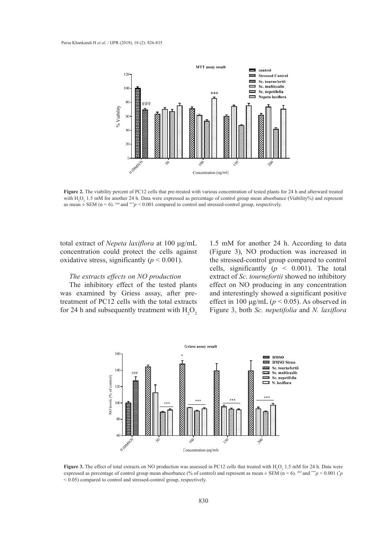

Figure 2. The viability percent of PC12 cells that pre-treated with various concentration of tested plants for 24 h and afterward treated as mean  $\pm$  SEM (n = 6). <sup>###</sup> and \*\**\*p* < 0.001 compared to control and stressed-control group, respectively. with  $H_2O_2$  1.5 mM for another 24 h. Data were expressed as percentage of control group mean absorbance (Viability%) and represent

total extract of *Nepeta laxiflora* at 100 μg/mL 1.5 mM for another 24 h. Ac concentration could protect the cells against (Figure 3), NO production w oxidative stress, significantly  $(p < 0.001)$ .

#### *The extracts effects on NO production*

The inhibitory effect of the tested plants effect on NO producing in an was examined by Griess assay, after pre-<br>
and interestingly showed a signal and  $\hat{p}$  and  $\hat{p}$  and  $\hat{p}$  and  $\hat{p}$ treatment of PC12 cells with the total extracts for 24 h and subsequently treatment with  $H_2O_2$  Figure 3, both *Sc. nepetifolia* and *Sc. nepetifolia* 

1.5 mM for another 24 h. According to data (Figure 3), NO production was increased in s, significantly  $(p < 0.001)$ . the stressed-control group compared to control cells, significantly  $(p \lt 0.001)$ . The total effects on *NO* production extract of *Sc. tournefortii* showed no inhibitory effect on NO producing in any concentration and interestingly showed a significant positive effect in 100  $\mu$ g/mL ( $p < 0.05$ ). As observed in Figure 3, both *Sc. nepetifolia* and *N. laxiflora*



**Figure 3.** The effect of total extracts on NO production was assessed in PC12 cells that treated with  $H_2O_2$  1.5 mM for 24 h. Data were expressed as percentage of control group mean absorbance (% of control) and represent as mean ± SEM (n = 6). ### and \*\*\**p* < 0.001 (\* *p* < 0.05) compared to control and stressed-control group, respectively.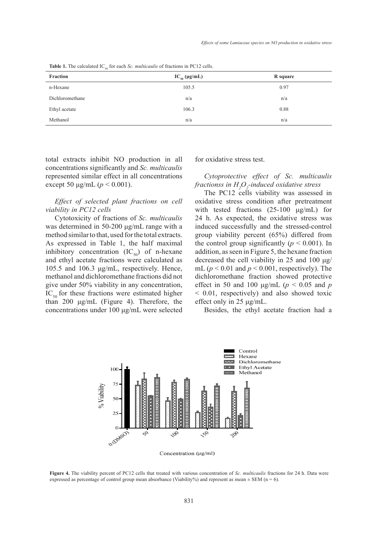**Table 1.** The calculated  $IC_{50}$  for each *Sc. multicaulis* of fractions in PC12 cells.

| $_{\rm 20}$     |                      |          |
|-----------------|----------------------|----------|
| Fraction        | $IC_{50} (\mu g/mL)$ | R square |
| n-Hexane        | 105.5                | 0.97     |
| Dichloromethane | n/a                  | n/a      |
| Ethyl acetate   | 106.3                | 0.88     |
| Methanol        | n/a                  | n/a      |

total extracts inhibit NO production in all concentrations significantly and *Sc. multicaulis* represented similar effect in all concentrations except 50 μg/mL ( $p$  < 0.001).

*Effect of selected plant fractions on cell viability in PC12 cells*

Cytotoxicity of fractions of *Sc. multicaulis* was determined in 50-200 μg/mL range with a method similar to that, used for the total extracts. As expressed in Table 1, the half maximal inhibitory concentration  $(IC_{50})$  of n-hexane and ethyl acetate fractions were calculated as 105.5 and 106.3 μg/mL, respectively. Hence, methanol and dichloromethane fractions did not give under 50% viability in any concentration,  $IC_{50}$  for these fractions were estimated higher than 200 μg/mL (Figure 4). Therefore, the concentrations under 100 μg/mL were selected

for oxidative stress test.

*Cytoprotective effect of Sc. multicaulis fractionss in H2 O2 -induced oxidative stress*

The PC12 cells viability was assessed in oxidative stress condition after pretreatment with tested fractions (25-100 μg/mL) for 24 h. As expected, the oxidative stress was induced successfully and the stressed-control group viability percent (65%) differed from the control group significantly  $(p < 0.001)$ . In addition, as seen in Figure 5, the hexane fraction decreased the cell viability in 25 and 100 μg/ mL ( $p < 0.01$  and  $p < 0.001$ , respectively). The dichloromethane fraction showed protective effect in 50 and 100 μg/mL (*p* < 0.05 and *p* < 0.01, respectively) and also showed toxic effect only in 25 μg/mL.

Besides, the ethyl acetate fraction had a



Figure 4. The viability percent of PC12 cells that treated with various concentration of Sc. multicaulis fractions for 24 h. Data were expressed as percentage of control group mean absorbance (Viability%) and represent as mean  $\pm$  SEM (n = 6).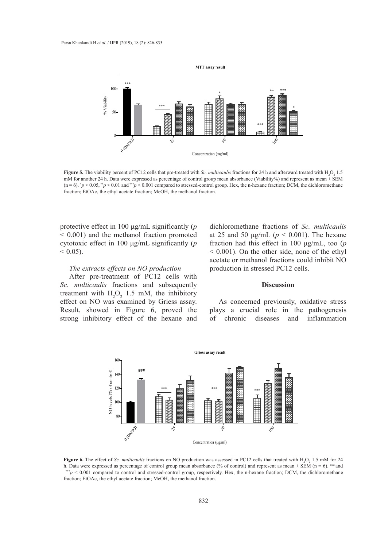

 $(n=6)$ . \* $p < 0.05$ , \*\* $p < 0.01$  and\*\*\* $p < 0.001$  compared to stressed-control group. Hex, the n-hexane fraction; DCM, the dichloromethane  $\mathcal{L}$  and afterward treated with H2O2 1.5 mM for another 24 h. Data were expressed as percentage as percentage as percentage as percentage as percentage as percentage as percentage as percentage as percentage as percen **Figure 5.** The viability percent of PC12 cells that pre-treated with *Sc. multicaulis* fractions for 24 h and afterward treated with  $H_2O_2$  1.5 mM for another 24 h. Data were expressed as percentage of control group mean absorbance (Viability%) and represent as mean ± SEM fraction; EtOAc, the ethyl acetate fraction; MeOH, the methanol fraction.

protective effect in 100 μg/mL significantly (*p*   $\sim$  0.001) and the methanol fraction promoted at 25 and 50 µg/mL ( $p$  < 0.001) cytotoxic effect in 100 μg/mL significantly (*p*  $< 0.05$ ).

# *The extracts effects on NO production*

After pre-treatment of PC12 cells with *Sc. multicaulis* fractions and subsequently treatment with  $H_2O_2$  1.5 mM, the inhibitory effect on NO was examined by Griess assay. Result, showed in Figure 6, proved the strong inhibitory effect of the hexane and of chronic diseases and inflammatic

dichloromethane fractions of *Sc. multicaulis* at 25 and 50  $\mu$ g/mL ( $p < 0.001$ ). The hexane fraction had this effect in 100 μg/mL, too (*p* < 0.001). On the other side, none of the ethyl acetate or methanol fractions could inhibit NO effects on NO production production in stressed PC12 cells.

### **Discussion**

As concerned previously, oxidative stress *multical* in Figure 6, proved the plays a crucial role in the pathogenesis of chronic diseases and inflammation



**Figure 6.** The effect of *Sc. multicaulis* fractions on NO production was assessed in PC12 cells that treated with  $H_2O_2$  1.5 mM for 24 h. Data were expressed as percentage of control group mean absorbance (% of control) and represent as mean  $\pm$  SEM (n = 6). ### and  $^{**}p$  < 0.001 compared to control and stressed-control group, respectively. Hex, the n-hexane fraction; DCM, the dichloromethane fraction; EtOAc, the ethyl acetate fraction; MeOH, the methanol fraction.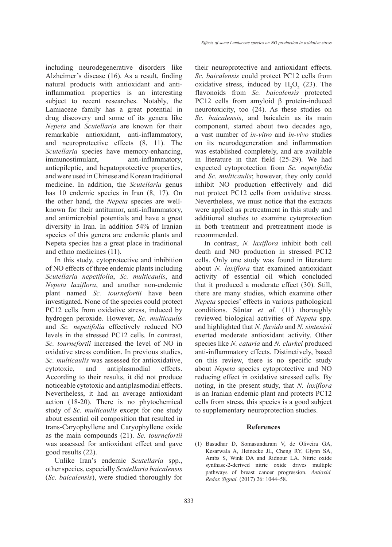including neurodegenerative disorders like Alzheimer's disease (16). As a result, finding natural products with antioxidant and antiinflammation properties is an interesting subject to recent researches. Notably, the Lamiaceae family has a great potential in drug discovery and some of its genera like *Nepeta* and *Scutellaria* are known for their remarkable antioxidant, anti-inflammatory, and neuroprotective effects (8, 11). The *Scutellaria* species have memory-enhancing, immunostimulant, anti-inflammatory, antiepileptic, and hepatoprotective properties, and were used in Chinese and Korean traditional medicine. In addition, the *Scutellaria* genus has 10 endemic species in Iran (8, 17). On the other hand, the *Nepeta* species are wellknown for their antitumor, anti‐inflammatory, and antimicrobial potentials and have a great diversity in Iran. In addition 54% of Iranian species of this genera are endemic plants and Nepeta species has a great place in traditional and ethno medicines (11).

In this study, cytoprotective and inhibition of NO effects of three endemic plants including *Scutellaria nepetifolia*, *Sc. multicaulis*, and *Nepeta laxiflora*, and another non-endemic plant named *Sc. tournefortii* have been investigated. None of the species could protect PC12 cells from oxidative stress, induced by hydrogen peroxide. However, *Sc. multicaulis* and *Sc. nepetifolia* effectively reduced NO levels in the stressed PC12 cells. In contrast, *Sc. tournefortii* increased the level of NO in oxidative stress condition. In previous studies, *Sc. multicaulis* was assessed for antioxidative, cytotoxic, and antiplasmodial effects. According to their results, it did not produce noticeable cytotoxic and antiplasmodial effects. Nevertheless, it had an average antioxidant action (18-20). There is no phytochemical study of *Sc. multicaulis* except for one study about essential oil composition that resulted in trans-Caryophyllene and Caryophyllene oxide as the main compounds (21). *Sc. tournefortii* was assessed for antioxidant effect and gave good results (22).

Unlike Iran's endemic *Scutellaria* spp., other species, especially *Scutellaria baicalensis*  (*Sc. baicalensis*), were studied thoroughly for their neuroprotective and antioxidant effects. *Sc. baicalensis* could protect PC12 cells from oxidative stress, induced by  $H_2O_2$  (23). The flavonoids from *Sc. baicalensis* protected PC12 cells from amyloid β protein-induced neurotoxicity, too (24). As these studies on *Sc. baicalensis*, and baicalein as its main component, started about two decades ago, a vast number of *in-vitro* and *in-vivo* studies on its neurodegeneration and inflammation was established completely, and are available in literature in that field (25-29). We had expected cytoprotection from *Sc. nepetifolia* and *Sc. multicaulis*; however, they only could inhibit NO production effectively and did not protect PC12 cells from oxidative stress. Nevertheless, we must notice that the extracts were applied as pretreatment in this study and additional studies to examine cytoprotection in both treatment and pretreatment mode is recommended.

In contrast, *N. laxiflora* inhibit both cell death and NO production in stressed PC12 cells. Only one study was found in literature about *N. laxiflora* that examined antioxidant activity of essential oil which concluded that it produced a moderate effect (30). Still, there are many studies, which examine other *Nepeta* species' effects in various pathological conditions. Süntar *et al.* (11) thoroughly reviewed biological activities of *Nepeta* spp. and highlighted that *N. flavida* and *N. sintenisii* exerted moderate antioxidant activity. Other species like *N. cataria* and *N. clarkei* produced anti-inflammatory effects. Distinctively, based on this review, there is no specific study about *Nepeta* species cytoprotective and NO reducing effect in oxidative stressed cells. By noting, in the present study, that *N. laxiflora* is an Iranian endemic plant and protects PC12 cells from stress, this species is a good subject to supplementary neuroprotection studies.

#### **References**

Basudhar D, Somasundaram V, de Oliveira GA, (1)Kesarwala A, Heinecke JL, Cheng RY, Glynn SA, Ambs S, Wink DA and Ridnour LA. Nitric oxide synthase-2-derived nitric oxide drives multiple pathways of breast cancer progression*. Antioxid. Redox Signal.* (2017) 26: 1044–58.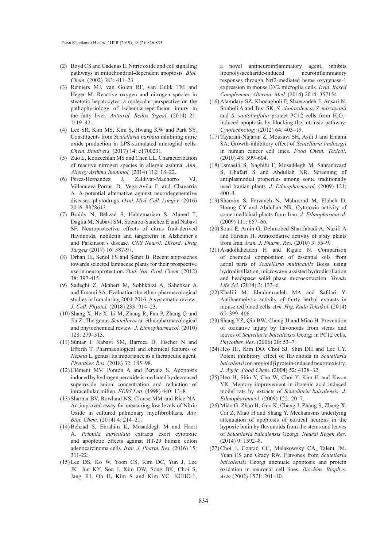- Boyd CS and Cadenas E. Nitric oxide and cell signaling (2) pathways in mitochondrial-dependent apoptosis*. Biol. Chem.* (2002) 383: 411–23.
- (3) Reiniers MJ, van Golen RF, van Gulik TM and Heger M. Reactive oxygen and nitrogen species in steatotic hepatocytes: a molecular perspective on the pathophysiology of ischemia-reperfusion injury in the fatty liver*. Antioxid. Redox Signal.* (2014) 21: 1119–42.
- Lee SR, Kim MS, Kim S, Hwang KW and Park SY. (4) Constituents from *Scutellaria barbata* inhibiting nitric oxide production in LPS-stimulated microglial cells*. Chem. Biodivers.* (2017) 14: e1700231.
- (5) Zuo L, Koozechian MS and Chen LL. Characterization of reactive nitrogen species in allergic asthma*. Ann. Allergy Asthma Immunol.* (2014) 112: 18–22.
- J, Zaldivar-Machorro VJ, Villanueva-Porras D, Vega-Avila E and Chavarria A. A potential alternative against neurodegenerative diseases: phytodrugs*. Oxid. Med. Cell. Longev.* (2016) 2016: 8378613. (6) Perez-Hernandez
- Braidy N, Behzad S, Habtemariam S, Ahmed T, (7) Daglia M, Nabavi SM, Sobarzo-Sanchez E and Nabavi SF. Neuroprotective effects of citrus fruit-derived flavonoids, nobiletin and tangeretin in Alzheimer's and Parkinson's disease*. CNS Neurol. Disord. Drug Targets* (2017) 16: 387-97.
- (8) Orhan IE, Senol FS and Sener B. Recent approaches towards selected lamiaceae plants for their prospective use in neuroprotection. *Stud. Nat. Prod. Chem.* (2012) 38: 397-415.
- (9) Sadeghi Z, Akaberi M, Sobhkhizi A, Sahebkar A and Emami SA. Evaluation the ethno-pharmacological studies in Iran during 2004-2016: A systematic review*. J. Cell. Physiol.* (2018) 233: 914–23.
- (10) Shang X, He X, Li M, Zhang R, Fan P, Zhang Q and Jia Z. The genus *Scutellaria* an ethnopharmacological and phytochemical review*. J. Ethnopharmacol.* (2010) 128: 279–313.
- (11) Süntar I, Nabavi SM, Barreca D, Fischer N and Efferth T. Pharmacological and chemical features of *Nepeta* L. genus: Its importance as a therapeutic agent*. Phytother. Res.* (2018) 32: 185–98.
- (12) Clément MV, Ponton A and Pervaiz S. Apoptosis induced by hydrogen peroxide is mediated by decreased superoxide anion concentration and reduction of intracellular milieu*. FEBS Lett.* (1998) 440: 13–8.
- (13) Sharma BV, Rowland NS, Clouse MM and Rice NA. An improved assay for measuring low levels of Nitric Oxide in cultured pulmonary myofibroblasts*. Adv. Biol. Chem.* (2014) 4: 214–21.
- (14) Behzad S, Ebrahim K, Mosaddegh M and Haeri A. *Primula auriculata* extracts exert cytotoxic and apoptotic effects against HT-29 human colon adenocarcinoma cells*. Iran. J. Pharm. Res*. (2016) 15: 311-22.
- (15) Lee DS, Ko W, Yoon CS, Kim DC, Yun J, Lee JK, Jun KY, Son I, Kim DW, Song BK, Choi S, Jang JH, Oh H, Kim S and Kim YC. KCHO-1,

a novel antineuroinflammatory agent, inhibits lipopolysaccharide-induced neuroinflammatory responses through Nrf2-mediated heme oxygenase-1 expression in mouse BV2 microglia cells*. Evid. Based Complement. Alternat. Med.* (2014) 2014: 357154.

- (16) Alamdary SZ, Khodagholi F, Shaerzadeh F, Ansari N, Sonboli A and Tusi SK. *S. choloroleuca*, *S. mirzayanii* and *S. santolinifolia* protect PC12 cells from  $H_2O_2$ induced apoptosis by blocking the intrinsic pathway*. Cytotechnology* (2012) 64: 403–19.
- (17) Tayarani-Najaran Z, Mousavi SH, Asili J and Emami SA. Growth-inhibitory effect of *Scutellaria lindbergii* in human cancer cell lines*. Food Chem. Toxicol.* (2010) 48: 599–604.
- Esmaeili S, Naghibi F, Mosaddegh M, Sahranavard (18) S, Ghafari S and Abdullah NR. Screening of antiplasmodial properties among some traditionally used Iranian plants*. J. Ethnopharmacol.* (2009) 121: 400–4.
- (19) Shamim S, Farzaneh N, Mahmoud M, Elaheh D, Hoong CY and Abdullah NR. Cytotoxic activity of some medicinal plants from Iran*. J. Ethnopharmacol*. (2009) 111: 657–66.
- (20) Souri E, Amin G, Dehmobed-Sharifabadi A, Nazifi A and Farsam H. Antioxidative activity of sixty plants from Iran*. Iran. J. Pharm. Res.* (2010) 3: 55–9.
- (21) Asadollahzadeh H and Rajaie N. Comparison of chemical composition of essential oils from aerial parts of *Scutellaria multicaulis* Boiss. using hydrodistillation, microwave-assisted hydrodistillation and headspace solid phase microextraction. *Trends Life Sci.* (2014) 3: 133–6.
- (22) Khalili M, Ebrahimzadeh MA and Safdari Y. Antihaemolytic activity of thirty herbal extracts in mouse red blood cells*. Arh. Hig. Rada Toksikol.* (2014) 65: 399–406.
- (23) Shang YZ, Qin BW, Cheng JJ and Miao H. Prevention of oxidative injury by flavonoids from stems and leaves of *Scutellaria baicalensis* Georgi in PC12 cells*. Phytother. Res.* (2006) 20: 53–7.
- $(24)$  Heo HJ, Kim DO, Choi SJ, Shin DH and Lee CY. Potent inhibitory effect of flavonoids in *Scutellaria baicalensis* on amyloid β protein-induced neurotoxicity*. J. Agric. Food Chem.* (2004) 52: 4128–32.
- (25) Heo H, Shin Y, Cho W, Choi Y, Kim H and Kwon YK. Memory improvement in ibotenic acid induced model rats by extracts of *Scutellaria baicalensis. J. Ethnopharmacol.* (2009) 122: 20–7.
- (26) Miao G, Zhao H, Guo K, Cheng J, Zhang S, Zhang X, Cai Z, Miao H and Shang Y. Mechanisms underlying attenuation of apoptosis of cortical neurons in the hypoxic brain by flavonoids from the stems and leaves of *Scutellaria baicalensis* Georgi*. Neural Regen Res*. (2014) 9: 1592–8.
- (27) Choi J, Conrad CC, Malakowsky CA, Talent JM, Yuan CS and Gracy RW. Flavones from *Scutellaria baicalensis* Georgi attenuate apoptosis and protein oxidation in neuronal cell lines*. Biochim. Biophys. Acta* (2002) 1571: 201–10.